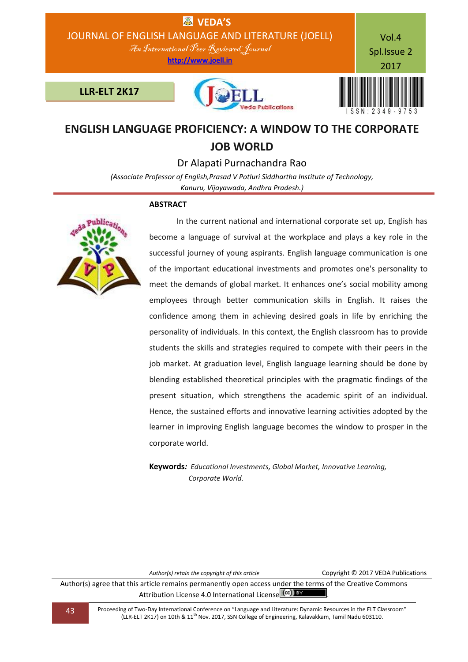

## **ENGLISH LANGUAGE PROFICIENCY: A WINDOW TO THE CORPORATE JOB WORLD**

Dr Alapati Purnachandra Rao

*(Associate Professor of English,Prasad V Potluri Siddhartha Institute of Technology, Kanuru, Vijayawada, Andhra Pradesh.)*

## **ABSTRACT**



 In the current national and international corporate set up, English has become a language of survival at the workplace and plays a key role in the successful journey of young aspirants. English language communication is one of the important educational investments and promotes one's personality to meet the demands of global market. It enhances one's social mobility among employees through better communication skills in English. It raises the confidence among them in achieving desired goals in life by enriching the personality of individuals. In this context, the English classroom has to provide students the skills and strategies required to compete with their peers in the job market. At graduation level, English language learning should be done by blending established theoretical principles with the pragmatic findings of the present situation, which strengthens the academic spirit of an individual. Hence, the sustained efforts and innovative learning activities adopted by the learner in improving English language becomes the window to prosper in the corporate world.

**Keywords***: Educational Investments, Global Market, Innovative Learning, Corporate World.*

*Author(s) retain the copyright of this article* Copyright © 2017 VEDA Publications

Author(s) agree that this article remains permanently open access under the terms of the Creative Commons Attribution License 4.0 International License (cc) BY

**43** Proceeding of Two-Day International Conference on "Language and Literature: Dynamic Resources in the ELT Classroom" (LLR-ELT 2K17) on 10th & 11th Nov. 2017, SSN College of Engineering, Kalavakkam, Tamil Nadu 603110.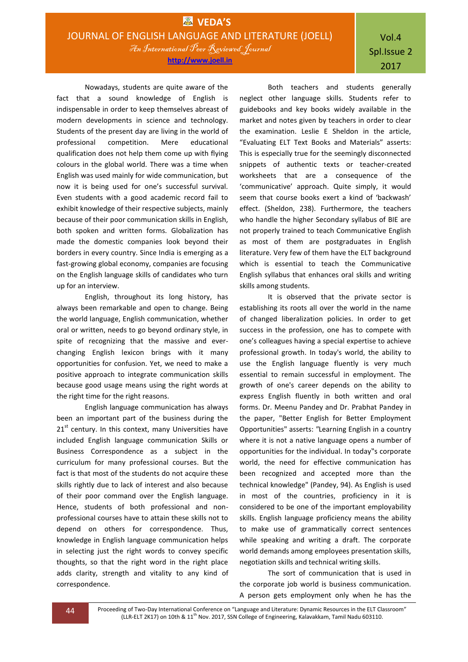Nowadays, students are quite aware of the fact that a sound knowledge of English is indispensable in order to keep themselves abreast of modern developments in science and technology. Students of the present day are living in the world of professional competition. Mere educational qualification does not help them come up with flying colours in the global world. There was a time when English was used mainly for wide communication, but now it is being used for one's successful survival. Even students with a good academic record fail to exhibit knowledge of their respective subjects, mainly because of their poor communication skills in English, both spoken and written forms. Globalization has made the domestic companies look beyond their borders in every country. Since India is emerging as a fast-growing global economy, companies are focusing on the English language skills of candidates who turn up for an interview.

English, throughout its long history, has always been remarkable and open to change. Being the world language, English communication, whether oral or written, needs to go beyond ordinary style, in spite of recognizing that the massive and everchanging English lexicon brings with it many opportunities for confusion. Yet, we need to make a positive approach to integrate communication skills because good usage means using the right words at the right time for the right reasons.

English language communication has always been an important part of the business during the  $21<sup>st</sup>$  century. In this context, many Universities have included English language communication Skills or Business Correspondence as a subject in the curriculum for many professional courses. But the fact is that most of the students do not acquire these skills rightly due to lack of interest and also because of their poor command over the English language. Hence, students of both professional and nonprofessional courses have to attain these skills not to depend on others for correspondence. Thus, knowledge in English language communication helps in selecting just the right words to convey specific thoughts, so that the right word in the right place adds clarity, strength and vitality to any kind of correspondence.

Both teachers and students generally neglect other language skills. Students refer to guidebooks and key books widely available in the market and notes given by teachers in order to clear the examination. Leslie E Sheldon in the article, "Evaluating ELT Text Books and Materials" asserts: This is especially true for the seemingly disconnected snippets of authentic texts or teacher-created worksheets that are a consequence of the 'communicative' approach. Quite simply, it would seem that course books exert a kind of 'backwash' effect. (Sheldon, 238). Furthermore, the teachers who handle the higher Secondary syllabus of BIE are not properly trained to teach Communicative English as most of them are postgraduates in English literature. Very few of them have the ELT background which is essential to teach the Communicative English syllabus that enhances oral skills and writing skills among students.

It is observed that the private sector is establishing its roots all over the world in the name of changed liberalization policies. In order to get success in the profession, one has to compete with one's colleagues having a special expertise to achieve professional growth. In today's world, the ability to use the English language fluently is very much essential to remain successful in employment. The growth of one's career depends on the ability to express English fluently in both written and oral forms. Dr. Meenu Pandey and Dr. Prabhat Pandey in the paper, "Better English for Better Employment Opportunities" asserts: *"*Learning English in a country where it is not a native language opens a number of opportunities for the individual. In today"s corporate world, the need for effective communication has been recognized and accepted more than the technical knowledge" (Pandey, 94). As English is used in most of the countries, proficiency in it is considered to be one of the important employability skills. English language proficiency means the ability to make use of grammatically correct sentences while speaking and writing a draft. The corporate world demands among employees presentation skills, negotiation skills and technical writing skills.

The sort of communication that is used in the corporate job world is business communication. A person gets employment only when he has the

44 Proceeding of Two-Day International Conference on "Language and Literature: Dynamic Resources in the ELT Classroom" (LLR-ELT 2K17) on 10th & 11<sup>th</sup> Nov. 2017, SSN College of Engineering, Kalavakkam, Tamil Nadu 603110.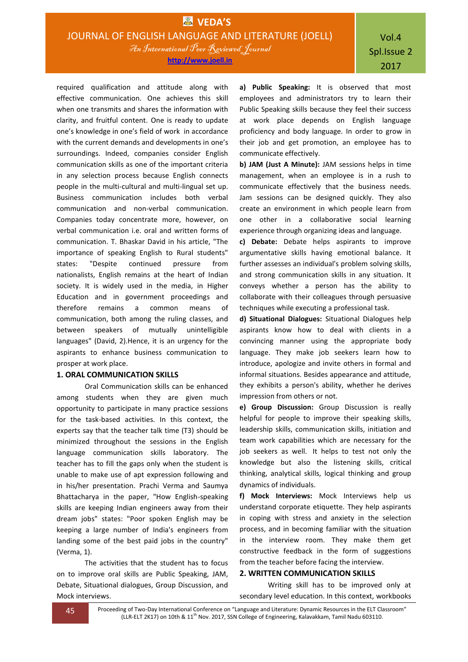required qualification and attitude along with effective communication. One achieves this skill when one transmits and shares the information with clarity, and fruitful content. One is ready to update one's knowledge in one's field of work in accordance with the current demands and developments in one's surroundings. Indeed, companies consider English communication skills as one of the important criteria in any selection process because English connects people in the multi-cultural and multi-lingual set up. Business communication includes both verbal communication and non-verbal communication. Companies today concentrate more, however, on verbal communication i.e. oral and written forms of communication. T. Bhaskar David in his article, "The importance of speaking English to Rural students" states: "Despite continued pressure from nationalists, English remains at the heart of Indian society. It is widely used in the media, in Higher Education and in government proceedings and therefore remains a common means of communication, both among the ruling classes, and between speakers of mutually unintelligible languages" (David, 2).Hence, it is an urgency for the aspirants to enhance business communication to prosper at work place.

## **1. ORAL COMMUNICATION SKILLS**

Oral Communication skills can be enhanced among students when they are given much opportunity to participate in many practice sessions for the task-based activities. In this context, the experts say that the teacher talk time (T3) should be minimized throughout the sessions in the English language communication skills laboratory. The teacher has to fill the gaps only when the student is unable to make use of apt expression following and in his/her presentation. Prachi Verma and Saumya Bhattacharya in the paper, "How English-speaking skills are keeping Indian engineers away from their dream jobs" states: "Poor spoken English may be keeping a large number of India's engineers from landing some of the best paid jobs in the country" (Verma, 1).

The activities that the student has to focus on to improve oral skills are Public Speaking, JAM, Debate, Situational dialogues, Group Discussion, and Mock interviews.

**a) Public Speaking:** It is observed that most employees and administrators try to learn their Public Speaking skills because they feel their success at work place depends on English language proficiency and body language. In order to grow in their job and get promotion, an employee has to communicate effectively.

**b) JAM (Just A Minute):** JAM sessions helps in time management, when an employee is in a rush to communicate effectively that the business needs. Jam sessions can be designed quickly. They also create an environment in which people learn from one other in a collaborative social learning experience through organizing ideas and language.

**c) Debate:** Debate helps aspirants to improve argumentative skills having emotional balance. It further assesses an individual's problem solving skills, and strong communication skills in any situation. It conveys whether a person has the ability to collaborate with their colleagues through persuasive techniques while executing a professional task.

**d) Situational Dialogues:** Situational Dialogues help aspirants know how to deal with clients in a convincing manner using the appropriate body language. They make job seekers learn how to introduce, apologize and invite others in formal and informal situations. Besides appearance and attitude, they exhibits a person's ability, whether he derives impression from others or not.

**e) Group Discussion:** Group Discussion is really helpful for people to improve their speaking skills, leadership skills, communication skills, initiation and team work capabilities which are necessary for the job seekers as well. It helps to test not only the knowledge but also the listening skills, critical thinking, analytical skills, logical thinking and group dynamics of individuals.

**f) Mock Interviews:** Mock Interviews help us understand corporate etiquette. They help aspirants in coping with stress and anxiety in the selection process, and in becoming familiar with the situation in the interview room. They make them get constructive feedback in the form of suggestions from the teacher before facing the interview.

## **2. WRITTEN COMMUNICATION SKILLS**

Writing skill has to be improved only at secondary level education. In this context, workbooks

**45** Proceeding of Two-Day International Conference on "Language and Literature: Dynamic Resources in the ELT Classroom" (LLR-ELT 2K17) on 10th & 11<sup>th</sup> Nov. 2017, SSN College of Engineering, Kalavakkam, Tamil Nadu 603110.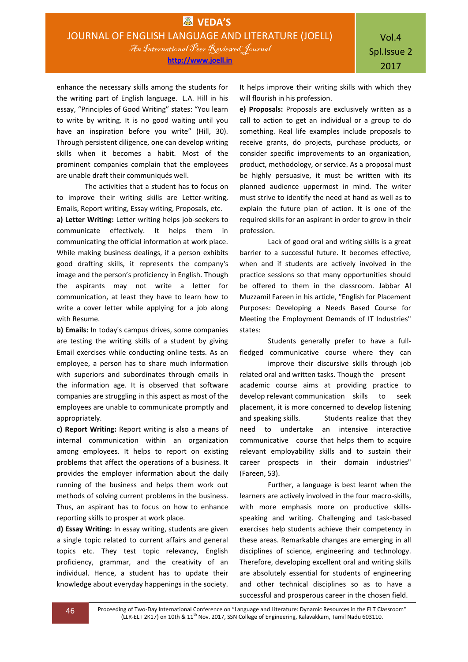enhance the necessary skills among the students for the writing part of English language. L.A. Hill in his essay, "Principles of Good Writing" states: "You learn to write by writing. It is no good waiting until you have an inspiration before you write" (Hill, 30). Through persistent diligence, one can develop writing skills when it becomes a habit. Most of the prominent companies complain that the employees are unable draft their communiqués well.

The activities that a student has to focus on to improve their writing skills are Letter-writing, Emails, Report writing, Essay writing, Proposals, etc.

**a) Letter Writing:** Letter writing helps job-seekers to communicate effectively. It helps them in communicating the official information at work place. While making business dealings, if a person exhibits good drafting skills, it represents the company's image and the person's proficiency in English. Though the aspirants may not write a letter for communication, at least they have to learn how to write a cover letter while applying for a job along with Resume.

**b) Emails:** In today's campus drives, some companies are testing the writing skills of a student by giving Email exercises while conducting online tests. As an employee, a person has to share much information with superiors and subordinates through emails in the information age. It is observed that software companies are struggling in this aspect as most of the employees are unable to communicate promptly and appropriately.

**c) Report Writing:** Report writing is also a means of internal communication within an organization among employees. It helps to report on existing problems that affect the operations of a business. It provides the employer information about the daily running of the business and helps them work out methods of solving current problems in the business. Thus, an aspirant has to focus on how to enhance reporting skills to prosper at work place.

**d) Essay Writing:** In essay writing, students are given a single topic related to current affairs and general topics etc. They test topic relevancy, English proficiency, grammar, and the creativity of an individual. Hence, a student has to update their knowledge about everyday happenings in the society.

It helps improve their writing skills with which they will flourish in his profession.

**e) Proposals:** Proposals are exclusively written as a call to action to get an individual or a group to do something. Real life examples include proposals to receive grants, do projects, purchase products, or consider specific improvements to an organization, product, methodology, or service. As a proposal must be highly persuasive, it must be written with its planned audience uppermost in mind. The writer must strive to identify the need at hand as well as to explain the future plan of action. It is one of the required skills for an aspirant in order to grow in their profession.

Lack of good oral and writing skills is a great barrier to a successful future. It becomes effective, when and if students are actively involved in the practice sessions so that many opportunities should be offered to them in the classroom. Jabbar Al Muzzamil Fareen in his article, "English for Placement Purposes: Developing a Needs Based Course for Meeting the Employment Demands of IT Industries" states:

Students generally prefer to have a fullfledged communicative course where they can

improve their discursive skills through job related oral and written tasks. Though the present academic course aims at providing practice to develop relevant communication skills to seek placement, it is more concerned to develop listening and speaking skills. Students realize that they need to undertake an intensive interactive communicative course that helps them to acquire relevant employability skills and to sustain their career prospects in their domain industries" (Fareen, 53).

Further, a language is best learnt when the learners are actively involved in the four macro-skills, with more emphasis more on productive skillsspeaking and writing. Challenging and task-based exercises help students achieve their competency in these areas. Remarkable changes are emerging in all disciplines of science, engineering and technology. Therefore, developing excellent oral and writing skills are absolutely essential for students of engineering and other technical disciplines so as to have a successful and prosperous career in the chosen field.

46 Proceeding of Two-Day International Conference on "Language and Literature: Dynamic Resources in the ELT Classroom" (LLR-ELT 2K17) on 10th & 11<sup>th</sup> Nov. 2017, SSN College of Engineering, Kalavakkam, Tamil Nadu 603110.